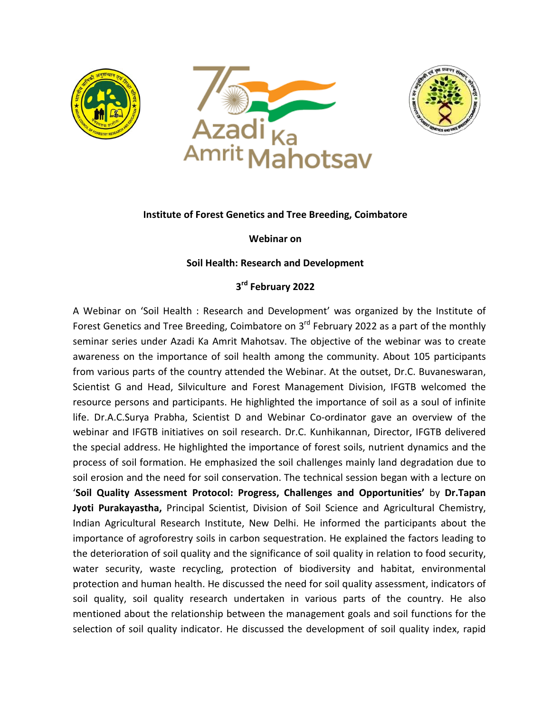





## **Institute of Forest Genetics and Tree Breeding, Coimbatore**

**Webinar on**

## **Soil Health: Research and Development**

## **3rd February 2022**

A Webinar on 'Soil Health : Research and Development' was organized by the Institute of Forest Genetics and Tree Breeding, Coimbatore on 3<sup>rd</sup> February 2022 as a part of the monthly seminar series under Azadi Ka Amrit Mahotsav. The objective of the webinar was to create awareness on the importance of soil health among the community. About 105 participants from various parts of the country attended the Webinar. At the outset, Dr.C. Buvaneswaran, Scientist G and Head, Silviculture and Forest Management Division, IFGTB welcomed the resource persons and participants. He highlighted the importance of soil as a soul of infinite life. Dr.A.C.Surya Prabha, Scientist D and Webinar Co-ordinator gave an overview of the webinar and IFGTB initiatives on soil research. Dr.C. Kunhikannan, Director, IFGTB delivered the special address. He highlighted the importance of forest soils, nutrient dynamics and the process of soil formation. He emphasized the soil challenges mainly land degradation due to soil erosion and the need for soil conservation. The technical session began with a lecture on '**Soil Quality Assessment Protocol: Progress, Challenges and Opportunities'** by **Dr.Tapan Jyoti Purakayastha,** Principal Scientist, Division of Soil Science and Agricultural Chemistry, Indian Agricultural Research Institute, New Delhi. He informed the participants about the importance of agroforestry soils in carbon sequestration. He explained the factors leading to the deterioration of soil quality and the significance of soil quality in relation to food security, water security, waste recycling, protection of biodiversity and habitat, environmental protection and human health. He discussed the need for soil quality assessment, indicators of soil quality, soil quality research undertaken in various parts of the country. He also mentioned about the relationship between the management goals and soil functions for the selection of soil quality indicator. He discussed the development of soil quality index, rapid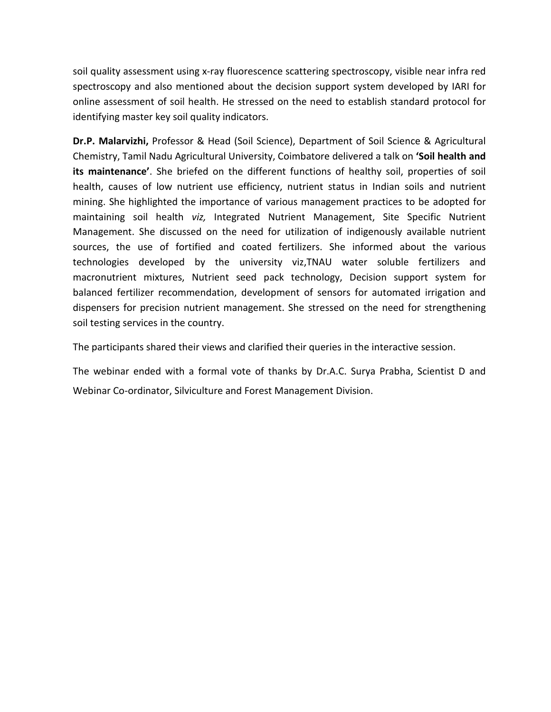soil quality assessment using x-ray fluorescence scattering spectroscopy, visible near infra red spectroscopy and also mentioned about the decision support system developed by IARI for online assessment of soil health. He stressed on the need to establish standard protocol for identifying master key soil quality indicators.

**Dr.P. Malarvizhi,** Professor & Head (Soil Science), Department of Soil Science & Agricultural Chemistry, Tamil Nadu Agricultural University, Coimbatore delivered a talk on **'Soil health and its maintenance'**. She briefed on the different functions of healthy soil, properties of soil health, causes of low nutrient use efficiency, nutrient status in Indian soils and nutrient mining. She highlighted the importance of various management practices to be adopted for maintaining soil health *viz,* Integrated Nutrient Management, Site Specific Nutrient Management. She discussed on the need for utilization of indigenously available nutrient sources, the use of fortified and coated fertilizers. She informed about the various technologies developed by the university viz,TNAU water soluble fertilizers and macronutrient mixtures, Nutrient seed pack technology, Decision support system for balanced fertilizer recommendation, development of sensors for automated irrigation and dispensers for precision nutrient management. She stressed on the need for strengthening soil testing services in the country.

The participants shared their views and clarified their queries in the interactive session.

The webinar ended with a formal vote of thanks by Dr.A.C. Surya Prabha, Scientist D and Webinar Co-ordinator, Silviculture and Forest Management Division.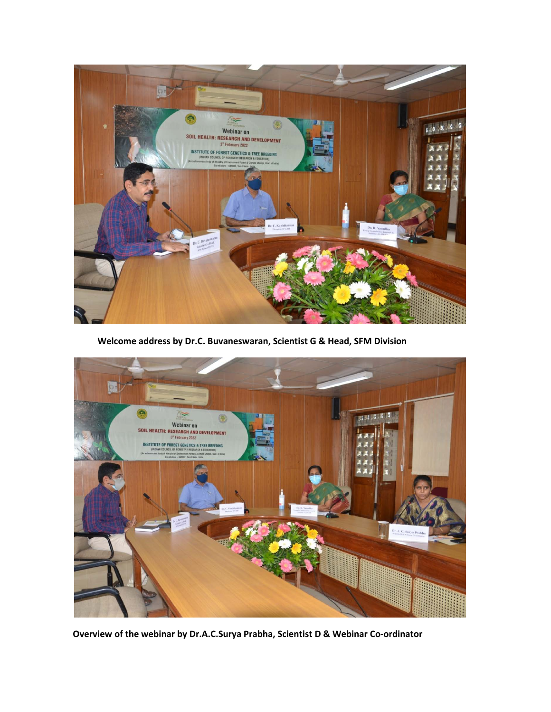

 **Welcome address by Dr.C. Buvaneswaran, Scientist G & Head, SFM Division**



**Overview of the webinar by Dr.A.C.Surya Prabha, Scientist D & Webinar Co-ordinator**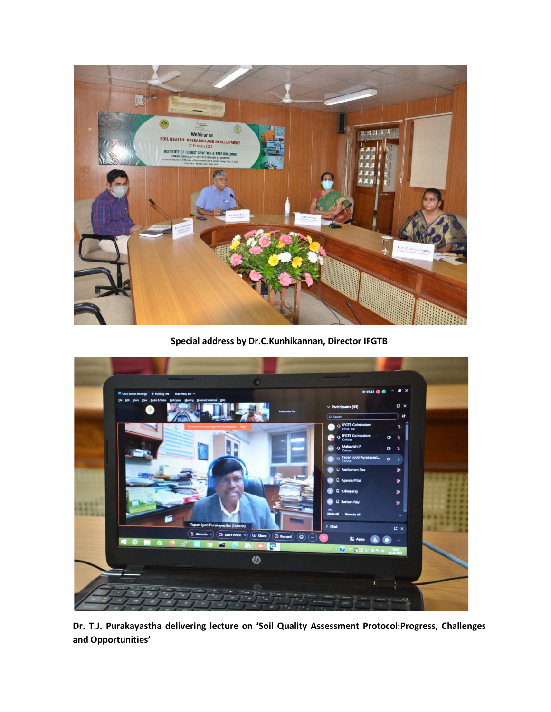

**Special address by Dr.C.Kunhikannan, Director IFGTB**



**Dr. T.J. Purakayastha delivering lecture on 'Soil Quality Assessment Protocol:Progress, Challenges and Opportunities'**